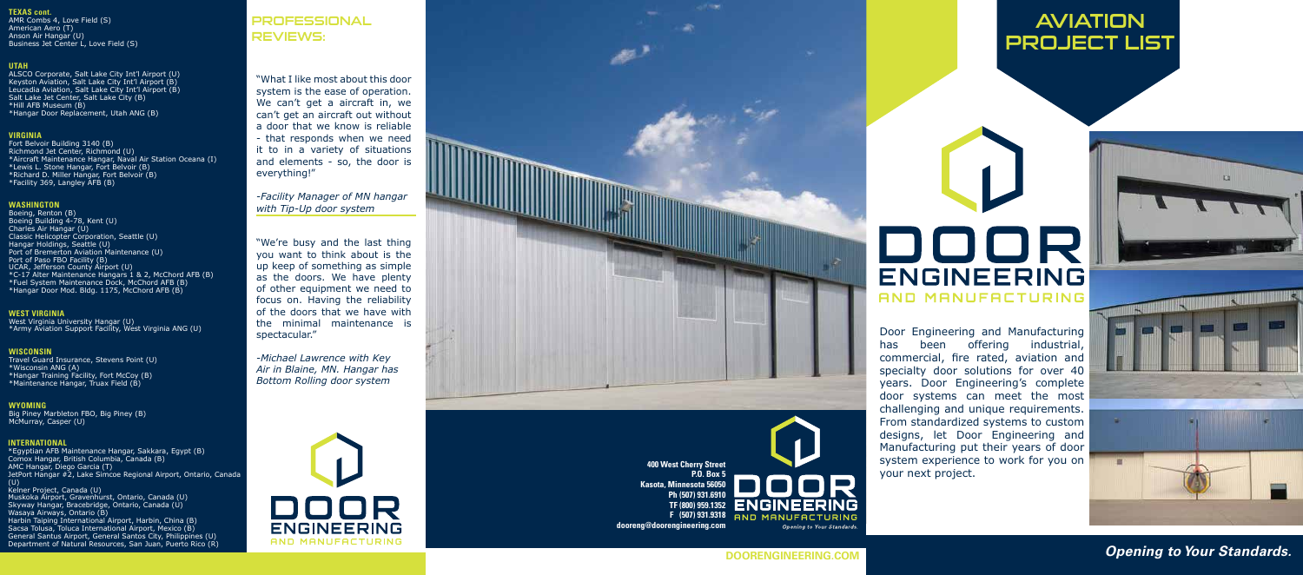Door Engineering and Manufacturing has been offering industrial, commercial, fire rated, aviation and specialty door solutions for over 40 years. Door Engineering's complete door systems can meet the most challenging and unique requirements. From standardized systems to custom designs, let Door Engineering and Manufacturing put their years of door system experience to work for you on your next project.



*Opening to Your Standards.*

**400 West Cherry Street P.O. Box 5 Kasota, Minnesota 56050 Ph (507) 931.6910** EN **TF (800) 959.1352 F (507) 931.9318 dooreng@doorengineering.com**



AMR Combs 4, Love Field (S) American Aero (T) Anson Air Hangar (U) Business Jet Center L, Love Field (S)

# PROJECT LIST **AVIATION**

# **ENGINEERING AND MANUFACTURING**

#### **INTERNATIONAL**

\*Egyptian AFB Maintenance Hangar, Sakkara, Egypt (B) Comox Hangar, British Columbia, Canada (B) AMC Hangar, Diego Garcia (T) JetPort Hangar #2, Lake Simcoe Regional Airport, Ontario, Canada (U) Kelner Project, Canada (U)

Muskoka Airport, Gravenhurst, Ontario, Canada (U) Skyway Hangar, Bracebridge, Ontario, Canada (U) Wasaya Airways, Ontario (B) Harbin Taiping International Airport, Harbin, China (B) Sacsa Tolusa, Toluca International Airport, Mexico (B) General Santus Airport, General Santos City, Philippines (U) Department of Natural Resources, San Juan, Puerto Rico (R)

#### **TEXAS cont.**

## **PROFESSIONAL** Reviews:

#### **UTAH**

ALSCO Corporate, Salt Lake City Int'l Airport (U) Keyston Aviation, Salt Lake City Int'l Airport (B) Leucadia Aviation, Salt Lake City Int'l Airport (B) Salt Lake Jet Center, Salt Lake City (B) \*Hill AFB Museum (B) \*Hangar Door Replacement, Utah ANG (B)

#### **VIRGINIA**

Fort Belvoir Building 3140 (B) Richmond Jet Center, Richmond (U) \*Aircraft Maintenance Hangar, Naval Air Station Oceana (I) \*Lewis L. Stone Hangar, Fort Belvoir (B) \*Richard D. Miller Hangar, Fort Belvoir (B) \*Facility 369, Langley AFB (B)

#### **WASHINGTON**

Boeing, Renton (B) Boeing Building 4-78, Kent (U) Charles Air Hangar (U) Classic Helicopter Corporation, Seattle (U) Hangar Holdings, Seattle (U) Port of Bremerton Aviation Maintenance (U) Port of Paso FBO Facility (B) UCAR, Jefferson County Airport (U) \*C-17 Alter Maintenance Hangars 1 & 2, McChord AFB (B) \*Fuel System Maintenance Dock, McChord AFB (B) \*Hangar Door Mod. Bldg. 1175, McChord AFB (B)

#### **WEST VIRGINIA**

West Virginia University Hangar (U) \*Army Aviation Support Facility, West Virginia ANG (U)

#### **WISCONSIN**

Travel Guard Insurance, Stevens Point (U) \*Wisconsin ANG (A) \*Hangar Training Facility, Fort McCoy (B) \*Maintenance Hangar, Truax Field (B)

#### **WYOMING**

Big Piney Marbleton FBO, Big Piney (B) McMurray, Casper (U)

"What I like most about this door system is the ease of operation. We can't get a aircraft in, we can't get an aircraft out without a door that we know is reliable - that responds when we need it to in a variety of situations and elements - so, the door is everything!"

*-Facility Manager of MN hangar with Tip-Up door system*

"We're busy and the last thing you want to think about is the up keep of something as simple as the doors. We have plenty of other equipment we need to focus on. Having the reliability of the doors that we have with the minimal maintenance is spectacular."

*-Michael Lawrence with Key Air in Blaine, MN. Hangar has Bottom Rolling door system*

**ENGINEERING** 

**AND MANUFACTURING**